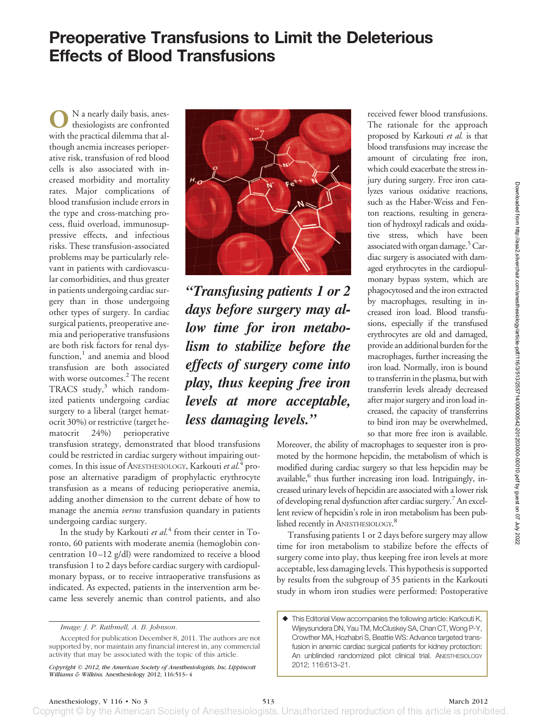**O**N a nearly daily basis, anesthesiologists are confronted with the practical dilemma that although anemia increases perioperative risk, transfusion of red blood cells is also associated with increased morbidity and mortality rates. Major complications of blood transfusion include errors in the type and cross-matching process, fluid overload, immunosuppressive effects, and infectious risks. These transfusion-associated problems may be particularly relevant in patients with cardiovascular comorbidities, and thus greater in patients undergoing cardiac surgery than in those undergoing other types of surgery. In cardiac surgical patients, preoperative anemia and perioperative transfusions are both risk factors for renal dysfunction, $<sup>1</sup>$  and anemia and blood</sup> transfusion are both associated with worse outcomes.<sup>2</sup> The recent TRACS study, $3$  which randomized patients undergoing cardiac surgery to a liberal (target hematocrit 30%) or restrictive (target hematocrit 24%) perioperative



*"Transfusing patients 1 or 2 days before surgery may allow time for iron metabolism to stabilize before the effects of surgery come into play, thus keeping free iron levels at more acceptable, less damaging levels."*

transfusion strategy, demonstrated that blood transfusions could be restricted in cardiac surgery without impairing outcomes. In this issue of ANESTHESIOLOGY, Karkouti *et al.*<sup>4</sup> propose an alternative paradigm of prophylactic erythrocyte transfusion as a means of reducing perioperative anemia, adding another dimension to the current debate of how to manage the anemia *versus* transfusion quandary in patients undergoing cardiac surgery.

In the study by Karkouti *et al.*<sup>4</sup> from their center in Toronto, 60 patients with moderate anemia (hemoglobin concentration 10 –12 g/dl) were randomized to receive a blood transfusion 1 to 2 days before cardiac surgery with cardiopulmonary bypass, or to receive intraoperative transfusions as indicated. As expected, patients in the intervention arm became less severely anemic than control patients, and also

received fewer blood transfusions. The rationale for the approach proposed by Karkouti *et al.* is that blood transfusions may increase the amount of circulating free iron, which could exacerbate the stress injury during surgery. Free iron catalyzes various oxidative reactions, such as the Haber-Weiss and Fenton reactions, resulting in generation of hydroxyl radicals and oxidative stress, which have been associated with organ damage. $5$  Cardiac surgery is associated with damaged erythrocytes in the cardiopulmonary bypass system, which are phagocytosed and the iron extracted by macrophages, resulting in increased iron load. Blood transfusions, especially if the transfused erythrocytes are old and damaged, provide an additional burden for the macrophages, further increasing the iron load. Normally, iron is bound to transferrin in the plasma, but with transferrin levels already decreased after major surgery and iron load increased, the capacity of transferrins to bind iron may be overwhelmed, so that more free iron is available.

Moreover, the ability of macrophages to sequester iron is promoted by the hormone hepcidin, the metabolism of which is modified during cardiac surgery so that less hepcidin may be available,<sup>6</sup> thus further increasing iron load. Intriguingly, increased urinary levels of hepcidin are associated with a lower risk of developing renal dysfunction after cardiac surgery.7 An excellent review of hepcidin's role in iron metabolism has been published recently in ANESTHESIOLOGY.<sup>8</sup>

Transfusing patients 1 or 2 days before surgery may allow time for iron metabolism to stabilize before the effects of surgery come into play, thus keeping free iron levels at more acceptable, less damaging levels. This hypothesis is supported by results from the subgroup of 35 patients in the Karkouti study in whom iron studies were performed: Postoperative

Copyright © by the American Society of Anesthesiologists. Unauthorized reproduction of this article is prohibited

*Image: J. P. Rathmell, A. B. Johnson.*

Accepted for publication December 8, 2011. The authors are not supported by, nor maintain any financial interest in, any commercial activity that may be associated with the topic of this article.

*Copyright © 2012, the American Society of Anesthesiologists, Inc. Lippincott Williams & Wilkins.* Anesthesiology 2012; 116:513–4

This Editorial View accompanies the following article: Karkouti K, Wijeysundera DN, Yau TM, McCluskey SA, Chan CT, Wong P-Y, Crowther MA, Hozhabri S, Beattie WS: Advance targeted transfusion in anemic cardiac surgical patients for kidney protection: An unblinded randomized pilot clinical trial. ANESTHESIOLOGY 2012; 116:613–21.